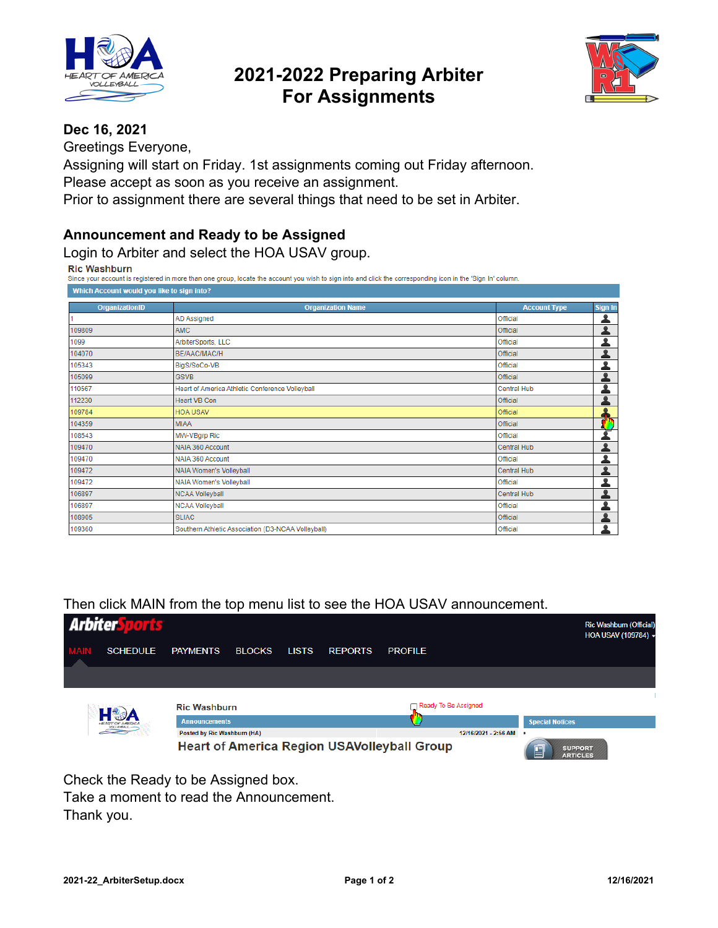

## **2021-2022 Preparing Arbiter For Assignments**



### **Dec 16, 2021**

Greetings Everyone,

Assigning will start on Friday. 1st assignments coming out Friday afternoon. Please accept as soon as you receive an assignment.

Prior to assignment there are several things that need to be set in Arbiter.

#### **Announcement and Ready to be Assigned**

Login to Arbiter and select the HOA USAV group.

**Ric Washburn** 

Since your account is registered in more than one group, locate the account you wish to sign into and click the corresponding icon in the 'Sign In' column. Which Account would you like to sign into?

| OrganizationID | <b>Organization Name</b>                           | <b>Account Type</b> | Sign In |
|----------------|----------------------------------------------------|---------------------|---------|
| $\overline{1}$ | AD Assigned                                        | Official            |         |
| 109809         | <b>AMC</b>                                         | Official            |         |
| 1099           | ArbiterSports, LLC                                 | Official            |         |
| 104070         | BE/AAC/MAC/H                                       | Official            |         |
| 105343         | BigS/SoCo-VB                                       | Official            |         |
| 105099         | <b>GSVB</b>                                        | <b>Official</b>     | ۰       |
| 110567         | Heart of America Athletic Conference Volleyball    | Central Hub         |         |
| 112230         | <b>Heart VB Con</b>                                | <b>Official</b>     |         |
| 109784         | <b>HOA USAV</b>                                    | Official            |         |
| 104359         | <b>MIAA</b>                                        | Official            |         |
| 108543         | MW-VBgrp Ric                                       | Official            |         |
| 109470         | NAIA 360 Account                                   | Central Hub         |         |
| 109470         | NAIA 360 Account                                   | Official            | ٠       |
| 109472         | NAIA Women's Volleyball                            | Central Hub         |         |
| 109472         | NAIA Women's Volleyball                            | Official            |         |
| 106897         | <b>NCAA Volleyball</b>                             | Central Hub         |         |
| 106897         | <b>NCAA Volleyball</b>                             | Official            |         |
| 108905         | <b>SLIAC</b>                                       | Official            |         |
| 109360         | Southern Athletic Association (D3-NCAA Volleyball) | <b>Official</b>     | ٠       |

Then click MAIN from the top menu list to see the HOA USAV announcement.



Take a moment to read the Announcement. Thank you.